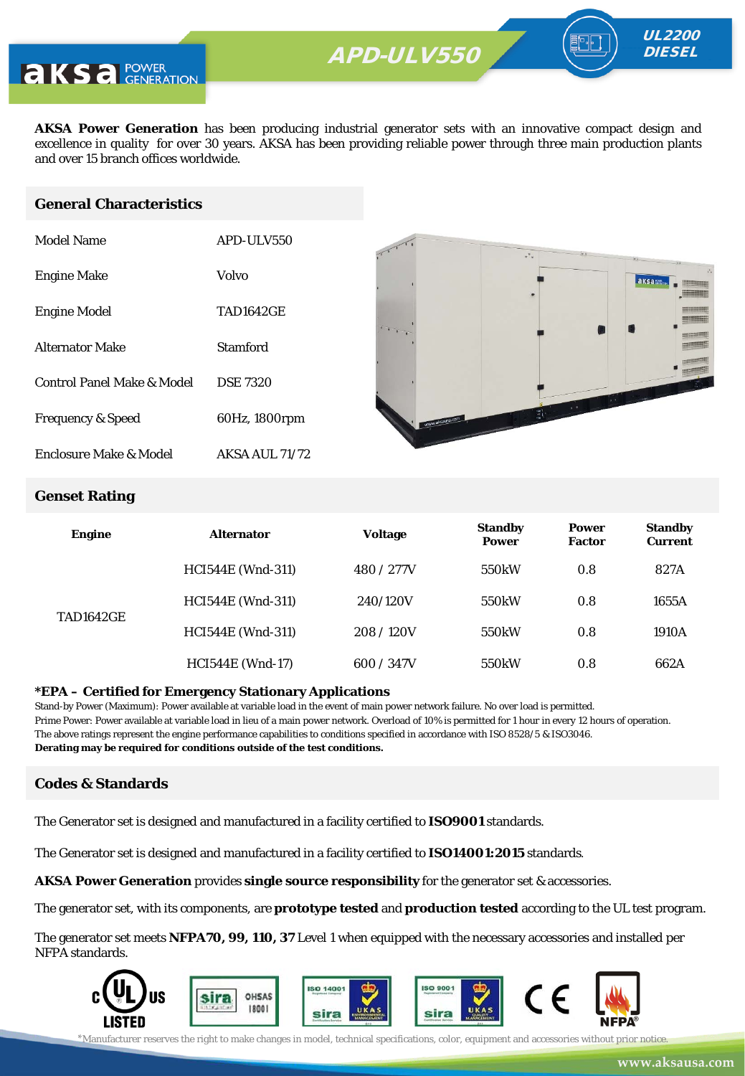

**AKSA Power Generation** has been producing industrial generator sets with an innovative compact design and excellence in quality for over 30 years. AKSA has been providing reliable power through three main production plants and over 15 branch offices worldwide.

#### **General Characteristics**

| Model Name                   | APD-ULV550            |
|------------------------------|-----------------------|
| <b>Engine Make</b>           | Volvo                 |
| <b>Engine Model</b>          | <b>TAD1642GE</b>      |
| <b>Alternator Make</b>       | Stamford              |
| Control Panel Make & Model   | <b>DSE 7320</b>       |
| <b>Frequency &amp; Speed</b> | 60Hz, 1800rpm         |
| Enclosure Make & Model       | <b>AKSA AUL 71/72</b> |



UL2200 **DIESEL** 

#### **Genset Rating**

| <b>Engine</b>    | <b>Alternator</b>        | <b>Voltage</b> | <b>Standby</b><br><b>Power</b> | <b>Power</b><br><b>Factor</b> | <b>Standby</b><br><b>Current</b> |
|------------------|--------------------------|----------------|--------------------------------|-------------------------------|----------------------------------|
|                  | <b>HCI544E</b> (Wnd-311) | 480 / 277V     | 550 <sub>k</sub> W             | 0.8                           | 827A                             |
| <b>TAD1642GE</b> | <b>HCI544E</b> (Wnd-311) | 240/120V       | 550 <sub>k</sub> W             | 0.8                           | 1655A                            |
|                  | <b>HCI544E</b> (Wnd-311) | 208/120V       | 550 <sub>k</sub> W             | 0.8                           | 1910A                            |
|                  | <b>HCI544E</b> (Wnd-17)  | 600 / 347V     | 550 <sub>k</sub> W             | 0.8                           | 662A                             |

#### **\*EPA – Certified for Emergency Stationary Applications**

Stand-by Power (Maximum): Power available at variable load in the event of main power network failure. No over load is permitted. Prime Power: Power available at variable load in lieu of a main power network. Overload of 10% is permitted for 1 hour in every 12 hours of operation. The above ratings represent the engine performance capabilities to conditions specified in accordance with ISO 8528/5 & ISO3046. **Derating may be required for conditions outside of the test conditions.**

#### **Codes & Standards**

The Generator set is designed and manufactured in a facility certified to **ISO9001** standards.

The Generator set is designed and manufactured in a facility certified to **ISO14001:2015** standards.

**AKSA Power Generation** provides **single source responsibility** for the generator set & accessories.

The generator set, with its components, are **prototype tested** and **production tested** according to the UL test program.

The generator set meets **NFPA70, 99, 110, 37** Level 1 when equipped with the necessary accessories and installed per NFPA standards.



\*Manufacturer reserves the right to make changes in model, technical specifications, color, equipment and accessories without prior notice.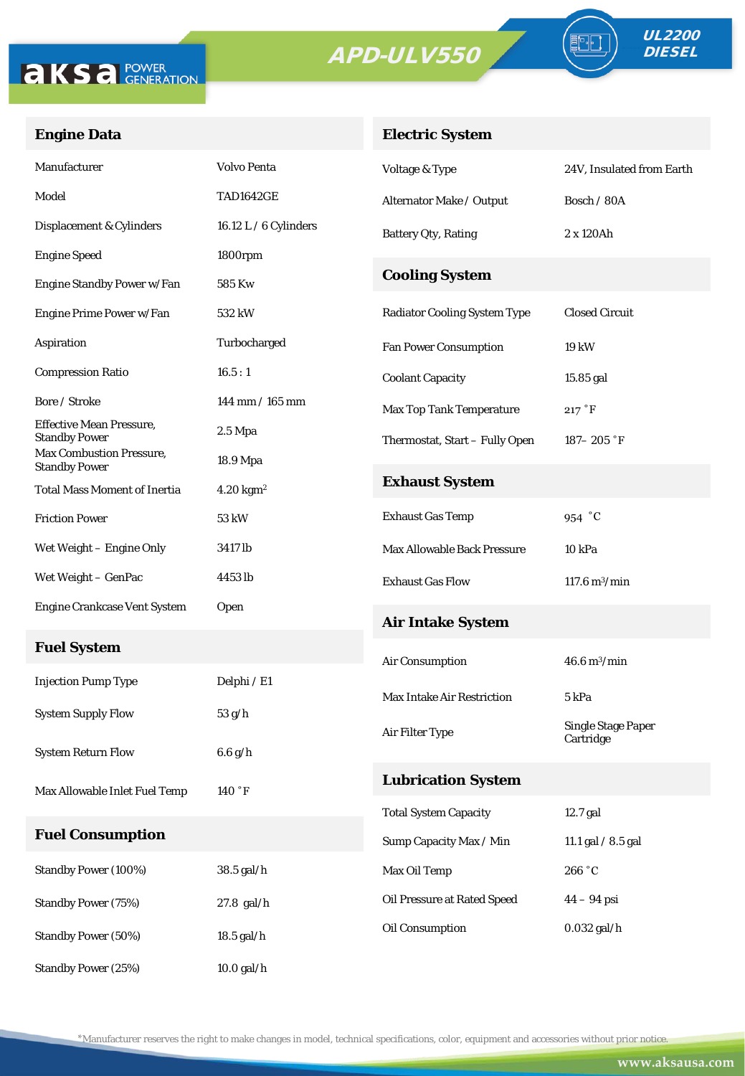

Standby Power (25%) 10.0 gal/h



FE

### **Engine Data**

### **Electric System**

| Manufacturer                                            | <b>Volvo Penta</b>      | Voltage & Type                      | 24V, Insulated from Earth              |  |
|---------------------------------------------------------|-------------------------|-------------------------------------|----------------------------------------|--|
| Model                                                   | <b>TAD1642GE</b>        | Alternator Make / Output            | Bosch / 80A                            |  |
| Displacement & Cylinders                                | 16.12 L $/$ 6 Cylinders | <b>Battery Qty, Rating</b>          | 2 x 120Ah                              |  |
| <b>Engine Speed</b>                                     | 1800rpm                 |                                     |                                        |  |
| Engine Standby Power w/Fan                              | 585 Kw                  | <b>Cooling System</b>               |                                        |  |
| Engine Prime Power w/Fan                                | 532 kW                  | <b>Radiator Cooling System Type</b> | <b>Closed Circuit</b>                  |  |
| Aspiration                                              | Turbocharged            | <b>Fan Power Consumption</b>        | 19 kW                                  |  |
| <b>Compression Ratio</b>                                | 16.5:1                  | <b>Coolant Capacity</b>             | 15.85 gal                              |  |
| Bore / Stroke                                           | 144 mm / 165 mm         | <b>Max Top Tank Temperature</b>     | 217 °F                                 |  |
| <b>Effective Mean Pressure,</b><br><b>Standby Power</b> | $2.5$ Mpa               | Thermostat, Start - Fully Open      | $187 - 205$ $\degree$ F                |  |
| Max Combustion Pressure,<br><b>Standby Power</b>        | 18.9 Mpa                |                                     |                                        |  |
| Total Mass Moment of Inertia                            | $4.20$ kgm <sup>2</sup> | <b>Exhaust System</b>               |                                        |  |
| <b>Friction Power</b>                                   | 53 kW                   | <b>Exhaust Gas Temp</b>             | 954 °C                                 |  |
| Wet Weight – Engine Only                                | 3417 lb                 | Max Allowable Back Pressure         | 10 kPa                                 |  |
| Wet Weight – GenPac                                     | 4453 lb                 | <b>Exhaust Gas Flow</b>             | $117.6 \,\mathrm{m}^3/\mathrm{min}$    |  |
| <b>Engine Crankcase Vent System</b>                     | Open                    | <b>Air Intake System</b>            |                                        |  |
| <b>Fuel System</b>                                      |                         |                                     | $46.6 \,\mathrm{m}^3/\mathrm{min}$     |  |
| <b>Injection Pump Type</b>                              | Delphi / E1             | Air Consumption                     |                                        |  |
| <b>System Supply Flow</b>                               | 53 g/h                  | <b>Max Intake Air Restriction</b>   | 5 kPa                                  |  |
|                                                         |                         | Air Filter Type                     | <b>Single Stage Paper</b><br>Cartridge |  |
| <b>System Return Flow</b>                               | $6.6$ g/h               |                                     |                                        |  |
| Max Allowable Inlet Fuel Temp                           | 140°F                   | <b>Lubrication System</b>           |                                        |  |
|                                                         |                         | <b>Total System Capacity</b>        | 12.7 gal                               |  |
| <b>Fuel Consumption</b>                                 |                         | Sump Capacity Max / Min             | 11.1 gal / 8.5 gal                     |  |
| Standby Power (100%)                                    | 38.5 gal/h              | Max Oil Temp                        | 266 °C                                 |  |
| Standby Power (75%)                                     | 27.8 gal/h              | Oil Pressure at Rated Speed         | $44 - 94$ psi                          |  |
| Standby Power (50%)                                     | 18.5 gal/h              | Oil Consumption                     | $0.032$ gal/h                          |  |

\*Manufacturer reserves the right to make changes in model, technical specifications, color, equipment and accessories without prior notice.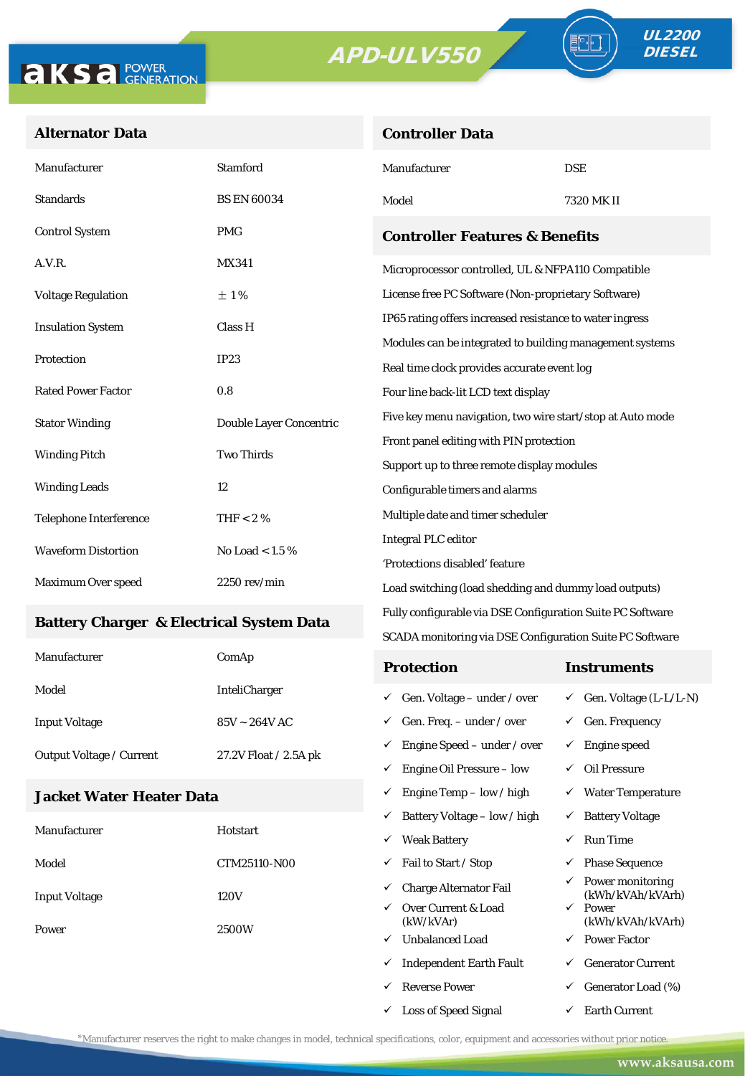**Controller Data**





#### **Alternator Data**

| Manufacturer                                    | <b>Stamford</b>         | Manufacturer                                               | <b>DSE</b> |  |  |
|-------------------------------------------------|-------------------------|------------------------------------------------------------|------------|--|--|
| <b>Standards</b>                                | <b>BS EN 60034</b>      | Model                                                      | 7320 MK II |  |  |
| <b>Control System</b>                           | <b>PMG</b>              | <b>Controller Features &amp; Benefits</b>                  |            |  |  |
| A.V.R.                                          | MX341                   | Microprocessor controlled, UL & NFPA110 Compatible         |            |  |  |
| <b>Voltage Regulation</b>                       | ±1%                     | License free PC Software (Non-proprietary Software)        |            |  |  |
| <b>Insulation System</b>                        | Class H                 | IP65 rating offers increased resistance to water ingress   |            |  |  |
|                                                 |                         | Modules can be integrated to building management systems   |            |  |  |
| Protection                                      | IP23                    | Real time clock provides accurate event log                |            |  |  |
| <b>Rated Power Factor</b>                       | 0.8                     | Four line back-lit LCD text display                        |            |  |  |
| <b>Stator Winding</b>                           | Double Layer Concentric | Five key menu navigation, two wire start/stop at Auto mode |            |  |  |
| <b>Two Thirds</b><br><b>Winding Pitch</b>       |                         | Front panel editing with PIN protection                    |            |  |  |
|                                                 |                         | Support up to three remote display modules                 |            |  |  |
| <b>Winding Leads</b>                            | 12                      | Configurable timers and alarms                             |            |  |  |
| <b>Telephone Interference</b>                   | THF < 2 $%$             | Multiple date and timer scheduler                          |            |  |  |
| <b>Waveform Distortion</b><br>No Load < $1.5\%$ |                         | <b>Integral PLC editor</b>                                 |            |  |  |
|                                                 |                         | 'Protections disabled' feature                             |            |  |  |
| Maximum Over speed                              | $2250$ rev/min          | Load switching (load shedding and dummy load outputs)      |            |  |  |

#### **Battery Charger & Electrical System Data**

| Manufacturer             | ComAp                 | <b>Protection</b>                        | Instruments                         |
|--------------------------|-----------------------|------------------------------------------|-------------------------------------|
| Model                    | <b>InteliCharger</b>  | $\checkmark$ Gen. Voltage – under / over | $\checkmark$ Gen. Voltage (L-L/L-N) |
| <b>Input Voltage</b>     | $85V \sim 264V$ AC    | $\checkmark$ Gen. Freq. – under / over   | $\checkmark$ Gen. Frequency         |
| Output Voltage / Current | 27.2V Float / 2.5A pk | $\checkmark$ Engine Speed – under / over | Engine speed                        |
|                          |                       | Engine Oil Pressure – low                | Oil Pressure                        |

Fully configurable via DSE Configuration Suite PC Software SCADA monitoring via DSE Configuration Suite PC Software

 $\checkmark$  Engine Temp – low / high  $\checkmark$  Water Temperature

 $\checkmark$  Loss of Speed Signal  $\checkmark$  Earth Current

#### **Jacket Water Heater Data**

|                      |                 |              | $\checkmark$ Battery Voltage – low / high | ✓            | <b>Battery Voltage</b>               |
|----------------------|-----------------|--------------|-------------------------------------------|--------------|--------------------------------------|
| Manufacturer         | <b>Hotstart</b> | ✓            | <b>Weak Battery</b>                       | ✓            | <b>Run Time</b>                      |
| Model                | CTM25110-N00    | ✓            | Fail to Start / Stop                      | $\checkmark$ | <b>Phase Sequence</b>                |
| <b>Input Voltage</b> | 120V            | ✓            | <b>Charge Alternator Fail</b>             | $\checkmark$ | Power monitoring<br>(kWh/kVAh/kVArh) |
|                      |                 | $\checkmark$ | Over Current & Load<br>(kW/kVAr)          | $\checkmark$ | Power<br>(kWh/kVAh/kVArh)            |
| Power                | 2500W<br>✓      |              | <b>Unbalanced Load</b>                    | $\checkmark$ | <b>Power Factor</b>                  |
|                      |                 | ✓            | <b>Independent Earth Fault</b>            | ✓            | <b>Generator Current</b>             |
|                      |                 | ✓            | <b>Reverse Power</b>                      | $\checkmark$ | Generator Load (%)                   |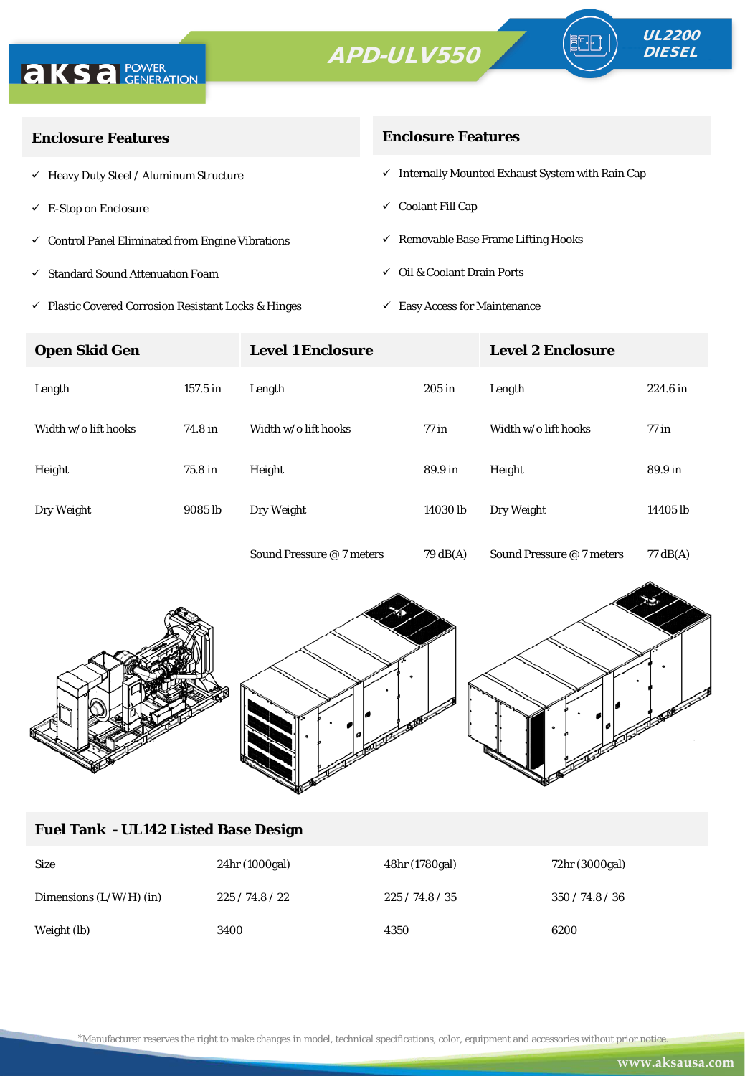



| <b>Enclosure Features</b>                                       | <b>Enclosure Features</b>                                    |
|-----------------------------------------------------------------|--------------------------------------------------------------|
| $\checkmark$ Heavy Duty Steel / Aluminum Structure              | $\checkmark$ Internally Mounted Exhaust System with Rain Cap |
| $\checkmark$ E-Stop on Enclosure                                | $\checkmark$ Coolant Fill Cap                                |
| $\checkmark$ Control Panel Eliminated from Engine Vibrations    | $\checkmark$ Removable Base Frame Lifting Hooks              |
| $\checkmark$ Standard Sound Attenuation Foam                    | $\checkmark$ Oil & Coolant Drain Ports                       |
| $\checkmark$ Plastic Covered Corrosion Resistant Locks & Hinges | <b>Easy Access for Maintenance</b><br>✓                      |

**Open Skid Gen Level 1 Enclosure Level 2 Enclosure** Length 157.5 in Length 205 in Length 224.6 in Width w/o lift hooks 74.8 in Width w/o lift hooks 77 in Width w/o lift hooks 77 in Height 75.8 in Height 89.9 in Height 89.9 in Dry Weight 9085 lb Dry Weight 14030 lb Dry Weight 14405 lb





#### **Fuel Tank - UL142 Listed Base Design**

| <b>Size</b>               | 24hr (1000gal) | 48hr (1780gal) | 72hr (3000gal) |
|---------------------------|----------------|----------------|----------------|
| Dimensions $(L/W/H)$ (in) | 225/74.8/22    | 225/74.8/35    | 350/74.8/36    |
| Weight (lb)               | 3400           | 4350           | 6200           |